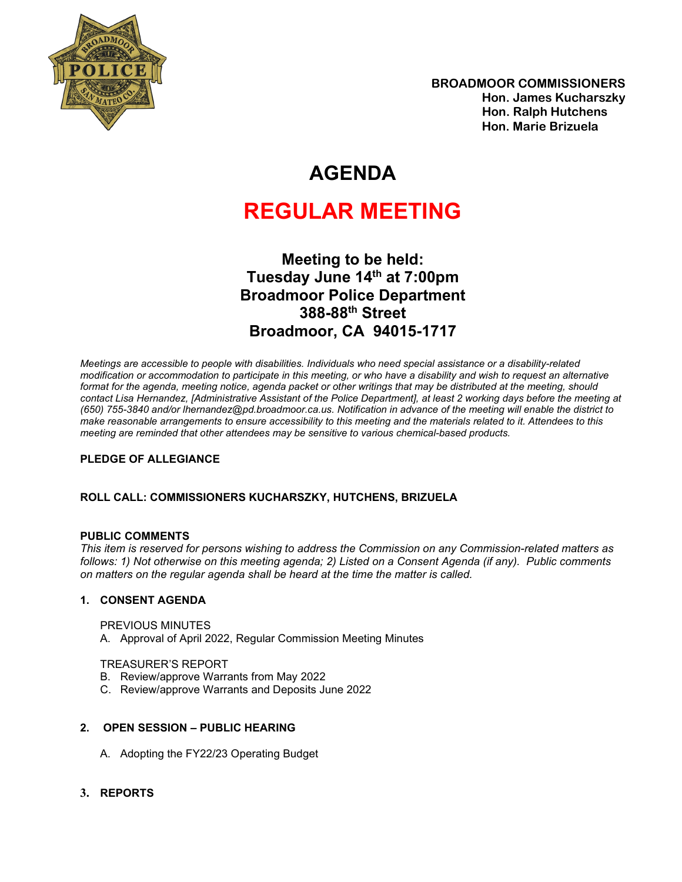

## **AGENDA**

# **REGULAR MEETING**

**Meeting to be held: Tuesday June 14th at 7:00pm Broadmoor Police Department 388-88th Street Broadmoor, CA 94015-1717**

*Meetings are accessible to people with disabilities. Individuals who need special assistance or a disability-related modification or accommodation to participate in this meeting, or who have a disability and wish to request an alternative format for the agenda, meeting notice, agenda packet or other writings that may be distributed at the meeting, should contact Lisa Hernandez, [Administrative Assistant of the Police Department], at least 2 working days before the meeting at (650) 755-3840 and/or lhernandez@pd.broadmoor.ca.us. Notification in advance of the meeting will enable the district to make reasonable arrangements to ensure accessibility to this meeting and the materials related to it. Attendees to this meeting are reminded that other attendees may be sensitive to various chemical-based products.*

#### **PLEDGE OF ALLEGIANCE**

#### **ROLL CALL: COMMISSIONERS KUCHARSZKY, HUTCHENS, BRIZUELA**

#### **PUBLIC COMMENTS**

*This item is reserved for persons wishing to address the Commission on any Commission-related matters as follows: 1) Not otherwise on this meeting agenda; 2) Listed on a Consent Agenda (if any). Public comments on matters on the regular agenda shall be heard at the time the matter is called.*

#### **1. CONSENT AGENDA**

PREVIOUS MINUTES

A. Approval of April 2022, Regular Commission Meeting Minutes

#### TREASURER'S REPORT

- B. Review/approve Warrants from May 2022
- C. Review/approve Warrants and Deposits June 2022

#### **2. OPEN SESSION – PUBLIC HEARING**

- A. Adopting the FY22/23 Operating Budget
- **3. REPORTS**